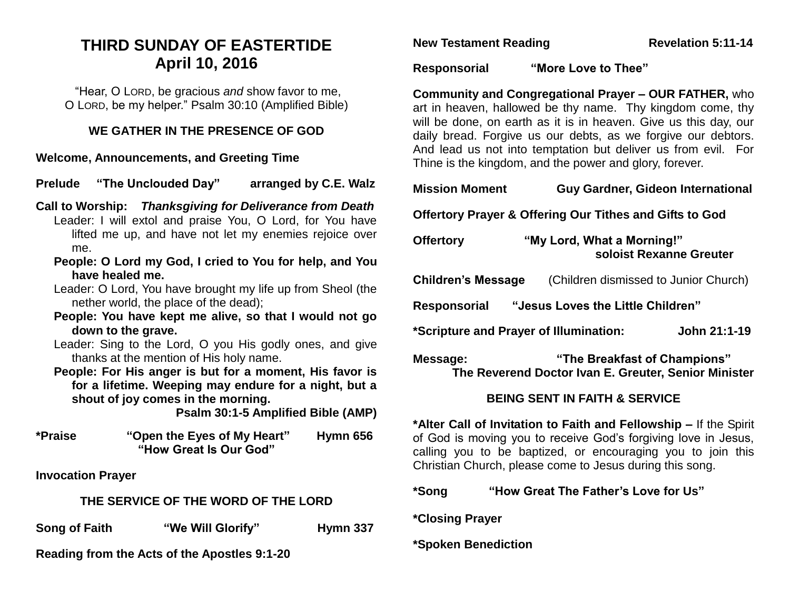# **THIRD SUNDAY OF EASTERTIDE April 10, 2016**

"Hear, O LORD, be gracious *and* show favor to me, O LORD, be my helper." Psalm 30:10 (Amplified Bible)

#### **WE GATHER IN THE PRESENCE OF GOD**

**Welcome, Announcements, and Greeting Time** 

**Prelude "The Unclouded Day" arranged by C.E. Walz**

- **Call to Worship:** *Thanksgiving for Deliverance from Death* Leader: I will extol and praise You, O Lord, for You have lifted me up, and have not let my enemies rejoice over me.
	- **People: O Lord my God, I cried to You for help, and You have healed me.**
	- Leader: O Lord, You have brought my life up from Sheol (the nether world, the place of the dead);
	- **People: You have kept me alive, so that I would not go down to the grave.**
	- Leader: Sing to the Lord, O you His godly ones, and give thanks at the mention of His holy name.
	- **People: For His anger is but for a moment, His favor is for a lifetime. Weeping may endure for a night, but a shout of joy comes in the morning.**

**Psalm 30:1-5 Amplified Bible (AMP)**

**\*Praise "Open the Eyes of My Heart" Hymn 656 "How Great Is Our God"**

**Invocation Prayer**

### **THE SERVICE OF THE WORD OF THE LORD**

**Song of Faith "We Will Glorify" Hymn 337** 

**Reading from the Acts of the Apostles 9:1-20**

**New Testament Reading Revelation 5:11-14** 

**Responsorial "More Love to Thee"**

**Community and Congregational Prayer – OUR FATHER,** who art in heaven, hallowed be thy name. Thy kingdom come, thy will be done, on earth as it is in heaven. Give us this day, our daily bread. Forgive us our debts, as we forgive our debtors. And lead us not into temptation but deliver us from evil. For Thine is the kingdom, and the power and glory, forever.

## **Mission Moment Guy Gardner, Gideon International**

**Offertory Prayer & Offering Our Tithes and Gifts to God**

| <b>Offertory</b>                                  | "My Lord, What a Morning!"<br>soloist Rexanne Greuter                                |              |
|---------------------------------------------------|--------------------------------------------------------------------------------------|--------------|
| <b>Children's Message</b>                         | (Children dismissed to Junior Church)                                                |              |
| "Jesus Loves the Little Children"<br>Responsorial |                                                                                      |              |
| *Scripture and Prayer of Illumination:            |                                                                                      | John 21:1-19 |
| Message:                                          | "The Breakfast of Champions"<br>The Reverend Doctor Ivan E. Greuter, Senior Minister |              |

## **BEING SENT IN FAITH & SERVICE**

**\*Alter Call of Invitation to Faith and Fellowship –** If the Spirit of God is moving you to receive God's forgiving love in Jesus, calling you to be baptized, or encouraging you to join this Christian Church, please come to Jesus during this song.

**\*Song "How Great The Father's Love for Us"** 

**\*Closing Prayer**

### **\*Spoken Benediction**